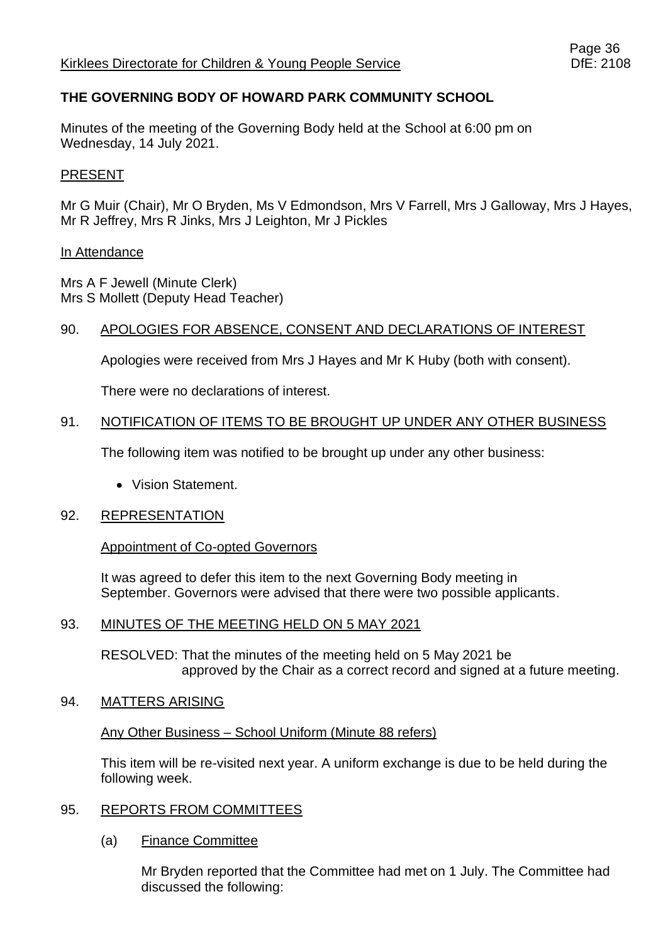# **THE GOVERNING BODY OF HOWARD PARK COMMUNITY SCHOOL**

Minutes of the meeting of the Governing Body held at the School at 6:00 pm on Wednesday, 14 July 2021.

#### PRESENT

Mr G Muir (Chair), Mr O Bryden, Ms V Edmondson, Mrs V Farrell, Mrs J Galloway, Mrs J Hayes, Mr R Jeffrey, Mrs R Jinks, Mrs J Leighton, Mr J Pickles

#### In Attendance

Mrs A F Jewell (Minute Clerk) Mrs S Mollett (Deputy Head Teacher)

#### 90. APOLOGIES FOR ABSENCE, CONSENT AND DECLARATIONS OF INTEREST

Apologies were received from Mrs J Hayes and Mr K Huby (both with consent).

There were no declarations of interest.

#### 91. NOTIFICATION OF ITEMS TO BE BROUGHT UP UNDER ANY OTHER BUSINESS

The following item was notified to be brought up under any other business:

• Vision Statement.

#### 92. REPRESENTATION

#### Appointment of Co-opted Governors

It was agreed to defer this item to the next Governing Body meeting in September. Governors were advised that there were two possible applicants.

#### 93. MINUTES OF THE MEETING HELD ON 5 MAY 2021

RESOLVED: That the minutes of the meeting held on 5 May 2021 be approved by the Chair as a correct record and signed at a future meeting.

#### 94. MATTERS ARISING

#### Any Other Business – School Uniform (Minute 88 refers)

This item will be re-visited next year. A uniform exchange is due to be held during the following week.

#### 95. REPORTS FROM COMMITTEES

#### (a) Finance Committee

Mr Bryden reported that the Committee had met on 1 July. The Committee had discussed the following: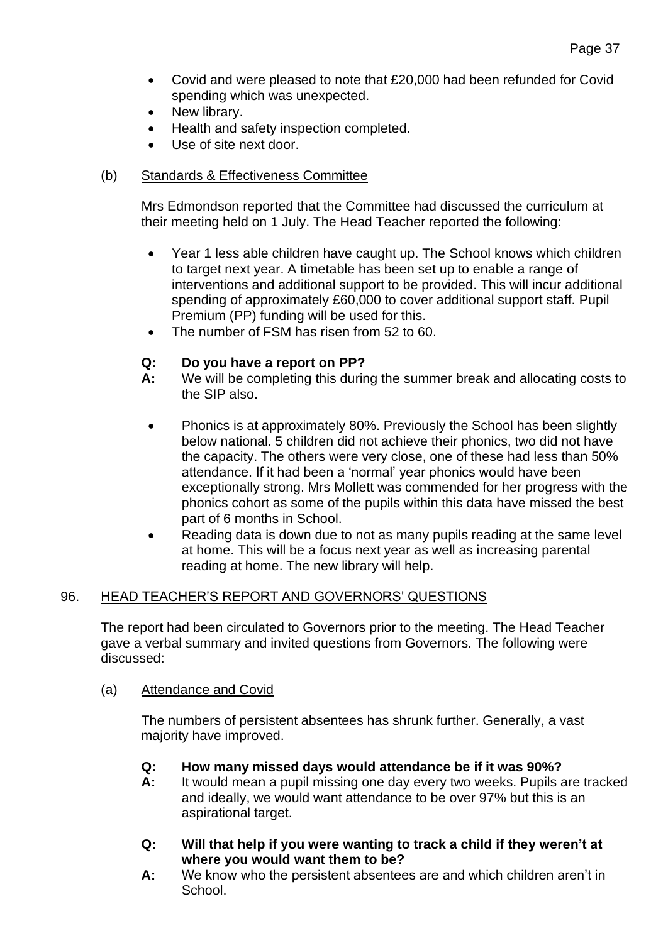- Covid and were pleased to note that £20,000 had been refunded for Covid spending which was unexpected.
- New library.
- Health and safety inspection completed.
- Use of site next door.

### (b) Standards & Effectiveness Committee

Mrs Edmondson reported that the Committee had discussed the curriculum at their meeting held on 1 July. The Head Teacher reported the following:

- Year 1 less able children have caught up. The School knows which children to target next year. A timetable has been set up to enable a range of interventions and additional support to be provided. This will incur additional spending of approximately £60,000 to cover additional support staff. Pupil Premium (PP) funding will be used for this.
- The number of FSM has risen from 52 to 60.

# **Q: Do you have a report on PP?**

- **A:** We will be completing this during the summer break and allocating costs to the SIP also.
	- Phonics is at approximately 80%. Previously the School has been slightly below national. 5 children did not achieve their phonics, two did not have the capacity. The others were very close, one of these had less than 50% attendance. If it had been a 'normal' year phonics would have been exceptionally strong. Mrs Mollett was commended for her progress with the phonics cohort as some of the pupils within this data have missed the best part of 6 months in School.
	- Reading data is down due to not as many pupils reading at the same level at home. This will be a focus next year as well as increasing parental reading at home. The new library will help.

# 96. HEAD TEACHER'S REPORT AND GOVERNORS' QUESTIONS

The report had been circulated to Governors prior to the meeting. The Head Teacher gave a verbal summary and invited questions from Governors. The following were discussed:

#### (a) Attendance and Covid

The numbers of persistent absentees has shrunk further. Generally, a vast majority have improved.

- **Q: How many missed days would attendance be if it was 90%?**
- **A:** It would mean a pupil missing one day every two weeks. Pupils are tracked and ideally, we would want attendance to be over 97% but this is an aspirational target.
- **Q: Will that help if you were wanting to track a child if they weren't at where you would want them to be?**
- **A:** We know who the persistent absentees are and which children aren't in School.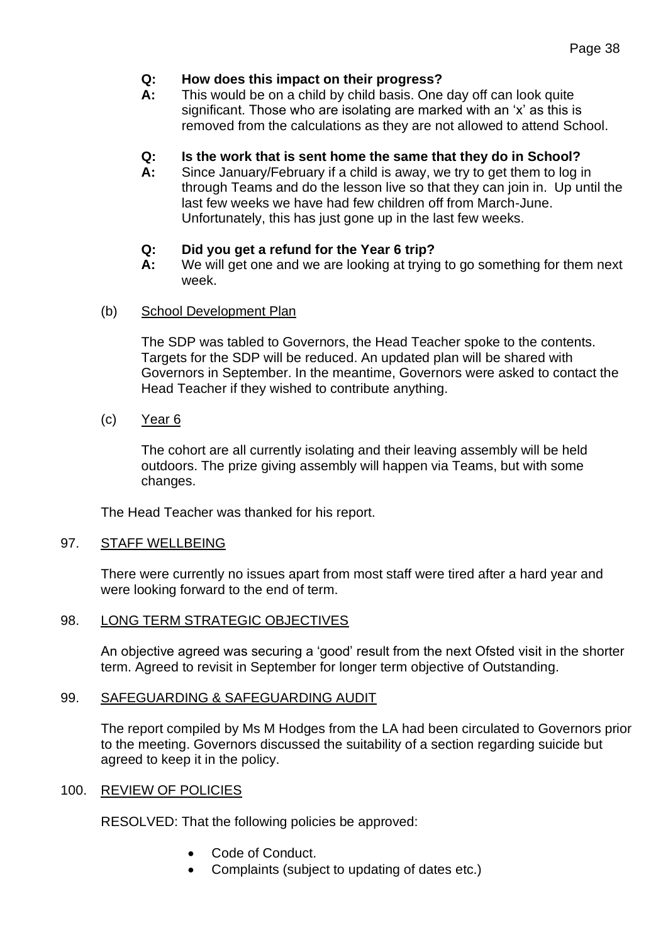### **Q: How does this impact on their progress?**

**A:** This would be on a child by child basis. One day off can look quite significant. Those who are isolating are marked with an 'x' as this is removed from the calculations as they are not allowed to attend School.

### **Q: Is the work that is sent home the same that they do in School?**

**A:** Since January/February if a child is away, we try to get them to log in through Teams and do the lesson live so that they can join in. Up until the last few weeks we have had few children off from March-June. Unfortunately, this has just gone up in the last few weeks.

### **Q: Did you get a refund for the Year 6 trip?**

**A:** We will get one and we are looking at trying to go something for them next week.

#### (b) School Development Plan

The SDP was tabled to Governors, the Head Teacher spoke to the contents. Targets for the SDP will be reduced. An updated plan will be shared with Governors in September. In the meantime, Governors were asked to contact the Head Teacher if they wished to contribute anything.

(c) Year 6

The cohort are all currently isolating and their leaving assembly will be held outdoors. The prize giving assembly will happen via Teams, but with some changes.

The Head Teacher was thanked for his report.

#### 97. STAFF WELLBEING

There were currently no issues apart from most staff were tired after a hard year and were looking forward to the end of term.

#### 98. LONG TERM STRATEGIC OBJECTIVES

An objective agreed was securing a 'good' result from the next Ofsted visit in the shorter term. Agreed to revisit in September for longer term objective of Outstanding.

# 99. SAFEGUARDING & SAFEGUARDING AUDIT

The report compiled by Ms M Hodges from the LA had been circulated to Governors prior to the meeting. Governors discussed the suitability of a section regarding suicide but agreed to keep it in the policy.

# 100. REVIEW OF POLICIES

RESOLVED: That the following policies be approved:

- Code of Conduct.
- Complaints (subject to updating of dates etc.)